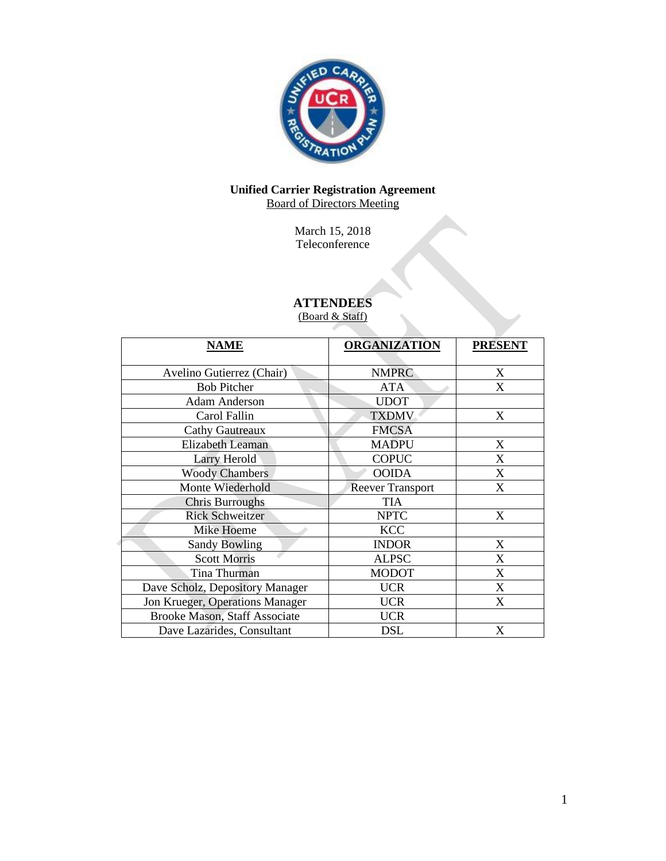

# **Unified Carrier Registration Agreement** Board of Directors Meeting

March 15, 2018 Teleconference

# **ATTENDEES**

(Board & Staff)

| <b>NAME</b>                     | <b>ORGANIZATION</b>     | <b>PRESENT</b> |
|---------------------------------|-------------------------|----------------|
| Avelino Gutierrez (Chair)       | <b>NMPRC</b>            | X              |
| <b>Bob Pitcher</b>              | <b>ATA</b>              | X              |
| <b>Adam Anderson</b>            | <b>UDOT</b>             |                |
| Carol Fallin                    | <b>TXDMV</b>            | X              |
| <b>Cathy Gautreaux</b>          | <b>FMCSA</b>            |                |
| Elizabeth Leaman                | <b>MADPU</b>            | X              |
| <b>Larry Herold</b>             | <b>COPUC</b>            | X              |
| <b>Woody Chambers</b>           | <b>OOIDA</b>            | X              |
| Monte Wiederhold                | <b>Reever Transport</b> | X              |
| <b>Chris Burroughs</b>          | <b>TIA</b>              |                |
| <b>Rick Schweitzer</b>          | <b>NPTC</b>             | X              |
| Mike Hoeme                      | <b>KCC</b>              |                |
| <b>Sandy Bowling</b>            | <b>INDOR</b>            | X              |
| <b>Scott Morris</b>             | <b>ALPSC</b>            | X              |
| Tina Thurman                    | <b>MODOT</b>            | X              |
| Dave Scholz, Depository Manager | <b>UCR</b>              | X              |
| Jon Krueger, Operations Manager | <b>UCR</b>              | X              |
| Brooke Mason, Staff Associate   | <b>UCR</b>              |                |
| Dave Lazarides, Consultant      | <b>DSL</b>              | X              |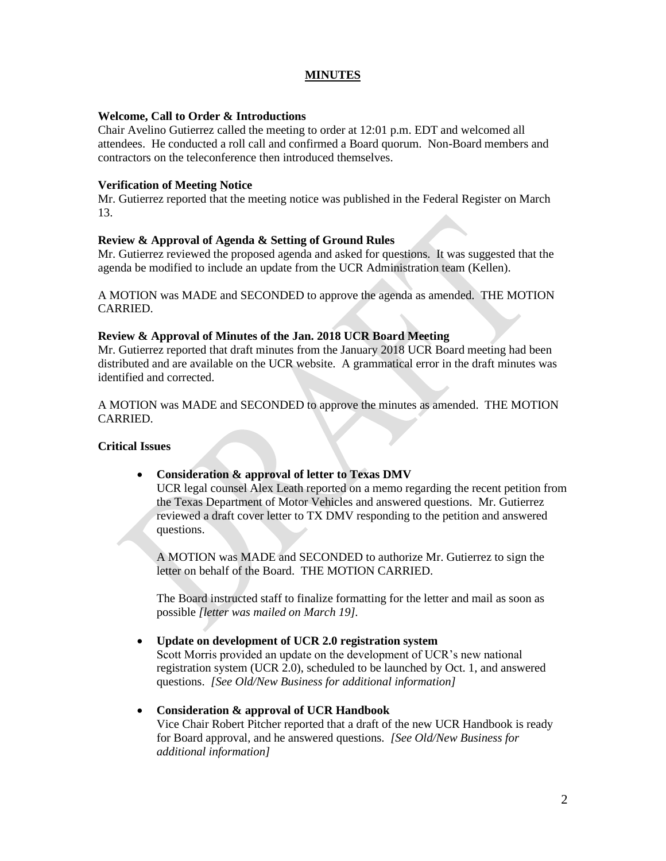# **MINUTES**

#### **Welcome, Call to Order & Introductions**

Chair Avelino Gutierrez called the meeting to order at 12:01 p.m. EDT and welcomed all attendees. He conducted a roll call and confirmed a Board quorum. Non-Board members and contractors on the teleconference then introduced themselves.

#### **Verification of Meeting Notice**

Mr. Gutierrez reported that the meeting notice was published in the Federal Register on March 13.

#### **Review & Approval of Agenda & Setting of Ground Rules**

Mr. Gutierrez reviewed the proposed agenda and asked for questions. It was suggested that the agenda be modified to include an update from the UCR Administration team (Kellen).

A MOTION was MADE and SECONDED to approve the agenda as amended. THE MOTION CARRIED.

#### **Review & Approval of Minutes of the Jan. 2018 UCR Board Meeting**

Mr. Gutierrez reported that draft minutes from the January 2018 UCR Board meeting had been distributed and are available on the UCR website. A grammatical error in the draft minutes was identified and corrected.

A MOTION was MADE and SECONDED to approve the minutes as amended. THE MOTION CARRIED.

### **Critical Issues**

### • **Consideration & approval of letter to Texas DMV**

UCR legal counsel Alex Leath reported on a memo regarding the recent petition from the Texas Department of Motor Vehicles and answered questions. Mr. Gutierrez reviewed a draft cover letter to TX DMV responding to the petition and answered questions.

A MOTION was MADE and SECONDED to authorize Mr. Gutierrez to sign the letter on behalf of the Board. THE MOTION CARRIED.

The Board instructed staff to finalize formatting for the letter and mail as soon as possible *[letter was mailed on March 19].*

#### • **Update on development of UCR 2.0 registration system**

Scott Morris provided an update on the development of UCR's new national registration system (UCR 2.0), scheduled to be launched by Oct. 1, and answered questions. *[See Old/New Business for additional information]*

#### • **Consideration & approval of UCR Handbook**

Vice Chair Robert Pitcher reported that a draft of the new UCR Handbook is ready for Board approval, and he answered questions. *[See Old/New Business for additional information]*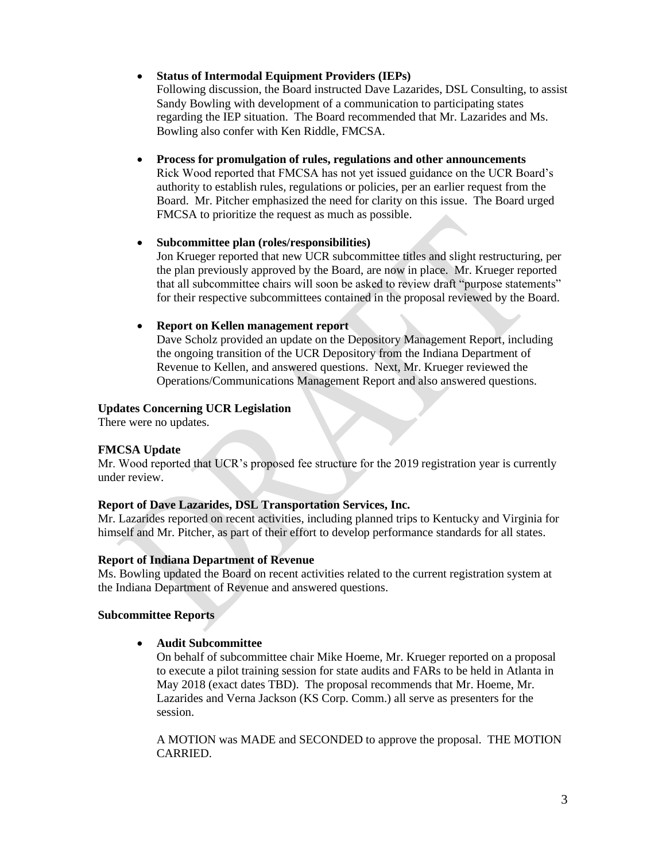# • **Status of Intermodal Equipment Providers (IEPs)**

Following discussion, the Board instructed Dave Lazarides, DSL Consulting, to assist Sandy Bowling with development of a communication to participating states regarding the IEP situation. The Board recommended that Mr. Lazarides and Ms. Bowling also confer with Ken Riddle, FMCSA.

• **Process for promulgation of rules, regulations and other announcements** Rick Wood reported that FMCSA has not yet issued guidance on the UCR Board's authority to establish rules, regulations or policies, per an earlier request from the Board. Mr. Pitcher emphasized the need for clarity on this issue. The Board urged FMCSA to prioritize the request as much as possible.

# • **Subcommittee plan (roles/responsibilities)**

Jon Krueger reported that new UCR subcommittee titles and slight restructuring, per the plan previously approved by the Board, are now in place. Mr. Krueger reported that all subcommittee chairs will soon be asked to review draft "purpose statements" for their respective subcommittees contained in the proposal reviewed by the Board.

# • **Report on Kellen management report**

Dave Scholz provided an update on the Depository Management Report, including the ongoing transition of the UCR Depository from the Indiana Department of Revenue to Kellen, and answered questions. Next, Mr. Krueger reviewed the Operations/Communications Management Report and also answered questions.

# **Updates Concerning UCR Legislation**

There were no updates.

### **FMCSA Update**

Mr. Wood reported that UCR's proposed fee structure for the 2019 registration year is currently under review.

### **Report of Dave Lazarides, DSL Transportation Services, Inc.**

Mr. Lazarides reported on recent activities, including planned trips to Kentucky and Virginia for himself and Mr. Pitcher, as part of their effort to develop performance standards for all states.

### **Report of Indiana Department of Revenue**

Ms. Bowling updated the Board on recent activities related to the current registration system at the Indiana Department of Revenue and answered questions.

### **Subcommittee Reports**

### • **Audit Subcommittee**

On behalf of subcommittee chair Mike Hoeme, Mr. Krueger reported on a proposal to execute a pilot training session for state audits and FARs to be held in Atlanta in May 2018 (exact dates TBD). The proposal recommends that Mr. Hoeme, Mr. Lazarides and Verna Jackson (KS Corp. Comm.) all serve as presenters for the session.

A MOTION was MADE and SECONDED to approve the proposal. THE MOTION CARRIED.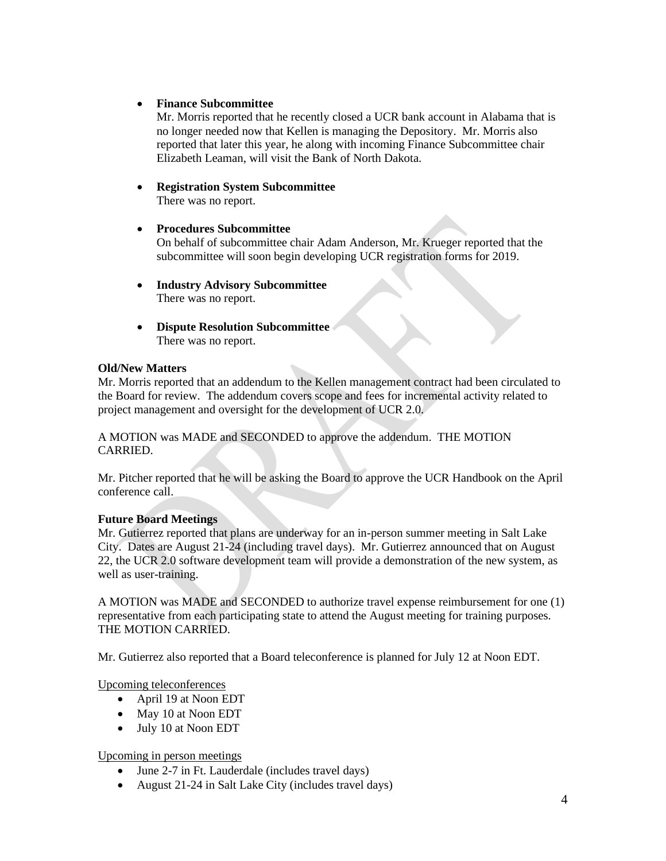# • **Finance Subcommittee**

Mr. Morris reported that he recently closed a UCR bank account in Alabama that is no longer needed now that Kellen is managing the Depository. Mr. Morris also reported that later this year, he along with incoming Finance Subcommittee chair Elizabeth Leaman, will visit the Bank of North Dakota.

# • **Registration System Subcommittee**

There was no report.

# • **Procedures Subcommittee**

On behalf of subcommittee chair Adam Anderson, Mr. Krueger reported that the subcommittee will soon begin developing UCR registration forms for 2019.

- **Industry Advisory Subcommittee** There was no report.
- **Dispute Resolution Subcommittee** There was no report.

# **Old/New Matters**

Mr. Morris reported that an addendum to the Kellen management contract had been circulated to the Board for review. The addendum covers scope and fees for incremental activity related to project management and oversight for the development of UCR 2.0.

A MOTION was MADE and SECONDED to approve the addendum. THE MOTION CARRIED.

Mr. Pitcher reported that he will be asking the Board to approve the UCR Handbook on the April conference call.

### **Future Board Meetings**

Mr. Gutierrez reported that plans are underway for an in-person summer meeting in Salt Lake City. Dates are August 21-24 (including travel days). Mr. Gutierrez announced that on August 22, the UCR 2.0 software development team will provide a demonstration of the new system, as well as user-training.

A MOTION was MADE and SECONDED to authorize travel expense reimbursement for one (1) representative from each participating state to attend the August meeting for training purposes. THE MOTION CARRIED.

Mr. Gutierrez also reported that a Board teleconference is planned for July 12 at Noon EDT.

Upcoming teleconferences

- April 19 at Noon EDT
- May 10 at Noon EDT
- July 10 at Noon EDT

Upcoming in person meetings

- June 2-7 in Ft. Lauderdale (includes travel days)
- August 21-24 in Salt Lake City (includes travel days)